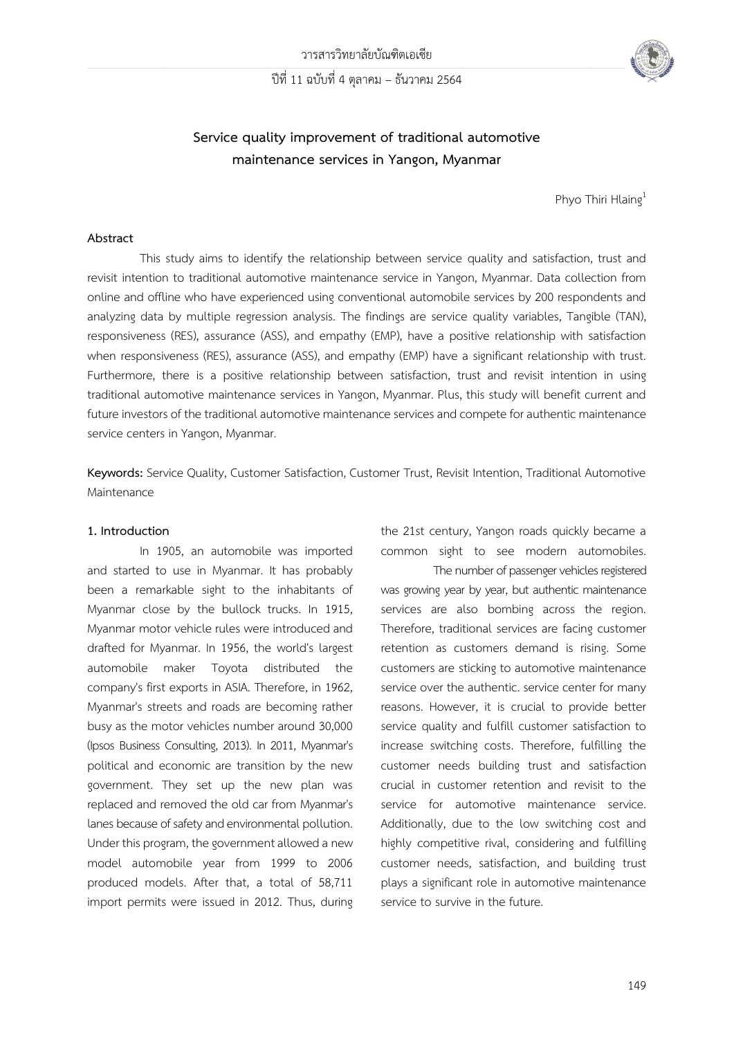

# **Service quality improvement of traditional automotive maintenance services in Yangon, Myanmar**

Phyo Thiri Hlaing<sup>1</sup>

### **Abstract**

This study aims to identify the relationship between service quality and satisfaction, trust and revisit intention to traditional automotive maintenance service in Yangon, Myanmar. Data collection from online and offline who have experienced using conventional automobile services by 200 respondents and analyzing data by multiple regression analysis. The findings are service quality variables, Tangible (TAN), responsiveness (RES), assurance (ASS), and empathy (EMP), have a positive relationship with satisfaction when responsiveness (RES), assurance (ASS), and empathy (EMP) have a significant relationship with trust. Furthermore, there is a positive relationship between satisfaction, trust and revisit intention in using traditional automotive maintenance services in Yangon, Myanmar. Plus, this study will benefit current and future investors of the traditional automotive maintenance services and compete for authentic maintenance service centers in Yangon, Myanmar.

**Keywords:** Service Quality, Customer Satisfaction, Customer Trust, Revisit Intention, Traditional Automotive Maintenance

#### **1. Introduction**

In 1905, an automobile was imported and started to use in Myanmar. It has probably been a remarkable sight to the inhabitants of Myanmar close by the bullock trucks. In 1915, Myanmar motor vehicle rules were introduced and drafted for Myanmar. In 1956, the world's largest automobile maker Toyota distributed the company's first exports in ASIA. Therefore, in 1962, Myanmar's streets and roads are becoming rather busy as the motor vehicles number around 30,000 (Ipsos Business Consulting, 2013). In 2011, Myanmar's political and economic are transition by the new government. They set up the new plan was replaced and removed the old car from Myanmar's lanes because of safety and environmental pollution. Under this program, the government allowed a new model automobile year from 1999 to 2006 produced models. After that, a total of 58,711 import permits were issued in 2012. Thus, during

the 21st century, Yangon roads quickly became a common sight to see modern automobiles.

The number of passenger vehicles registered was growing year by year, but authentic maintenance services are also bombing across the region. Therefore, traditional services are facing customer retention as customers demand is rising. Some customers are sticking to automotive maintenance service over the authentic. service center for many reasons. However, it is crucial to provide better service quality and fulfill customer satisfaction to increase switching costs. Therefore, fulfilling the customer needs building trust and satisfaction crucial in customer retention and revisit to the service for automotive maintenance service. Additionally, due to the low switching cost and highly competitive rival, considering and fulfilling customer needs, satisfaction, and building trust plays a significant role in automotive maintenance service to survive in the future.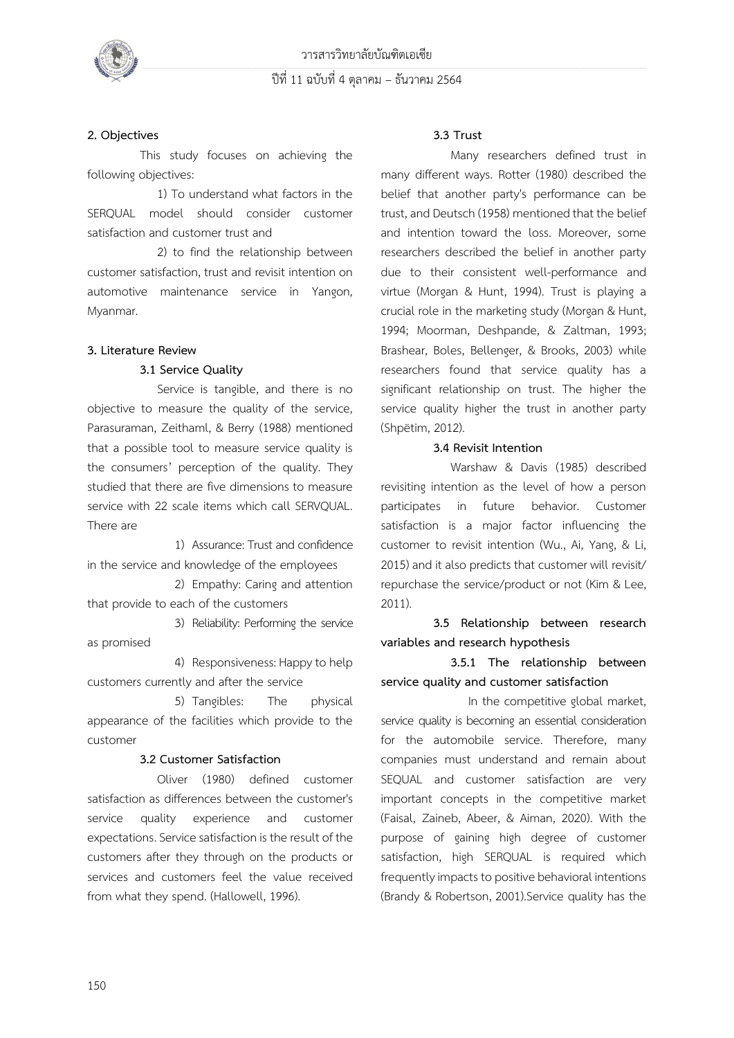

### **2. Objectives**

This study focuses on achieving the following objectives:

1) To understand what factors in the SERQUAL model should consider customer satisfaction and customer trust and

2) to find the relationship between customer satisfaction, trust and revisit intention on automotive maintenance service in Yangon, Myanmar.

### **3. Literature Review**

### **3.1 Service Quality**

Service is tangible, and there is no objective to measure the quality of the service, Parasuraman, Zeithaml, & Berry (1988) mentioned that a possible tool to measure service quality is the consumers' perception of the quality. They studied that there are five dimensions to measure service with 22 scale items which call SERVQUAL. There are

1) Assurance: Trust and confidence in the service and knowledge of the employees

2) Empathy: Caring and attention that provide to each of the customers

3) Reliability: Performing the service as promised

4) Responsiveness: Happy to help customers currently and after the service

5) Tangibles: The physical appearance of the facilities which provide to the customer

### **3.2 Customer Satisfaction**

Oliver (1980) defined customer satisfaction as differences between the customer's service quality experience and customer expectations. Service satisfaction is the result of the customers after they through on the products or services and customers feel the value received from what they spend. (Hallowell, 1996).

### **3.3 Trust**

Many researchers defined trust in many different ways. Rotter (1980) described the belief that another party's performance can be trust, and Deutsch (1958) mentioned that the belief and intention toward the loss. Moreover, some researchers described the belief in another party due to their consistent well-performance and virtue (Morgan & Hunt, 1994). Trust is playing a crucial role in the marketing study (Morgan & Hunt, 1994; Moorman, Deshpande, & Zaltman, 1993; Brashear, Boles, Bellenger, & Brooks, 2003) while researchers found that service quality has a significant relationship on trust. The higher the service quality higher the trust in another party (Shpëtim, 2012).

### **3.4 Revisit Intention**

Warshaw & Davis (1985) described revisiting intention as the level of how a person participates in future behavior. Customer satisfaction is a major factor influencing the customer to revisit intention (Wu., Ai, Yang, & Li, 2015) and it also predicts that customer will revisit/ repurchase the service/product or not (Kim & Lee, 2011).

**3.5 Relationship between research variables and research hypothesis**

# **3.5.1 The relationship between service quality and customer satisfaction**

In the competitive global market, service quality is becoming an essential consideration for the automobile service. Therefore, many companies must understand and remain about SEQUAL and customer satisfaction are very important concepts in the competitive market (Faisal, Zaineb, Abeer, & Aiman, 2020). With the purpose of gaining high degree of customer satisfaction, high SERQUAL is required which frequently impacts to positive behavioral intentions (Brandy & Robertson, 2001).Service quality has the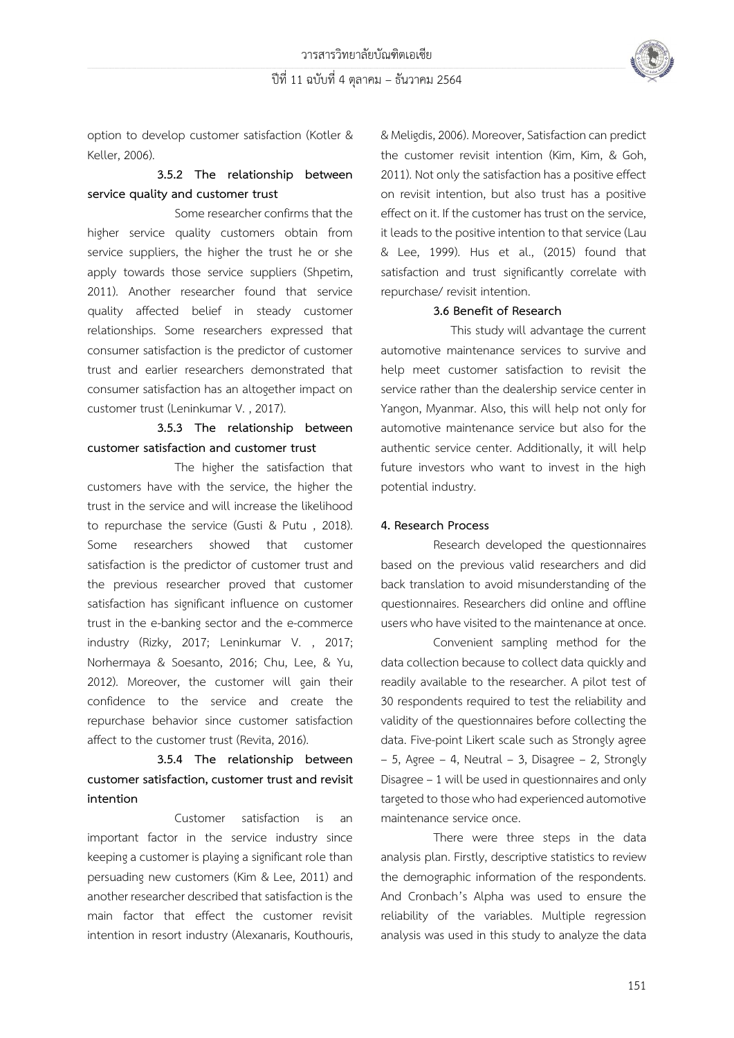

option to develop customer satisfaction (Kotler & Keller, 2006).

# **3.5.2 The relationship between service quality and customer trust**

Some researcher confirms that the higher service quality customers obtain from service suppliers, the higher the trust he or she apply towards those service suppliers (Shpetim, 2011). Another researcher found that service quality affected belief in steady customer relationships. Some researchers expressed that consumer satisfaction is the predictor of customer trust and earlier researchers demonstrated that consumer satisfaction has an altogether impact on customer trust (Leninkumar V. , 2017).

# **3.5.3 The relationship between customer satisfaction and customer trust**

The higher the satisfaction that customers have with the service, the higher the trust in the service and will increase the likelihood to repurchase the service (Gusti & Putu , 2018). Some researchers showed that customer satisfaction is the predictor of customer trust and the previous researcher proved that customer satisfaction has significant influence on customer trust in the e-banking sector and the e-commerce industry (Rizky, 2017; Leninkumar V. , 2017; Norhermaya & Soesanto, 2016; Chu, Lee, & Yu, 2012). Moreover, the customer will gain their confidence to the service and create the repurchase behavior since customer satisfaction affect to the customer trust (Revita, 2016).

# **3.5.4 The relationship between customer satisfaction, customer trust and revisit intention**

Customer satisfaction is an important factor in the service industry since keeping a customer is playing a significant role than persuading new customers (Kim & Lee, 2011) and another researcher described that satisfaction is the main factor that effect the customer revisit intention in resort industry (Alexanaris, Kouthouris, & Meligdis, 2006). Moreover, Satisfaction can predict the customer revisit intention (Kim, Kim, & Goh, 2011). Not only the satisfaction has a positive effect on revisit intention, but also trust has a positive effect on it. If the customer has trust on the service, it leads to the positive intention to that service (Lau & Lee, 1999). Hus et al., (2015) found that satisfaction and trust significantly correlate with repurchase/ revisit intention.

### **3.6 Benefit of Research**

This study will advantage the current automotive maintenance services to survive and help meet customer satisfaction to revisit the service rather than the dealership service center in Yangon, Myanmar. Also, this will help not only for automotive maintenance service but also for the authentic service center. Additionally, it will help future investors who want to invest in the high potential industry.

## **4. Research Process**

Research developed the questionnaires based on the previous valid researchers and did back translation to avoid misunderstanding of the questionnaires. Researchers did online and offline users who have visited to the maintenance at once.

Convenient sampling method for the data collection because to collect data quickly and readily available to the researcher. A pilot test of 30 respondents required to test the reliability and validity of the questionnaires before collecting the data. Five-point Likert scale such as Strongly agree  $-5$ , Agree – 4, Neutral – 3, Disagree – 2, Strongly Disagree –1 will be used in questionnaires and only targeted to those who had experienced automotive maintenance service once.

There were three steps in the data analysis plan. Firstly, descriptive statistics to review the demographic information of the respondents. And Cronbach's Alpha was used to ensure the reliability of the variables. Multiple regression analysis was used in this study to analyze the data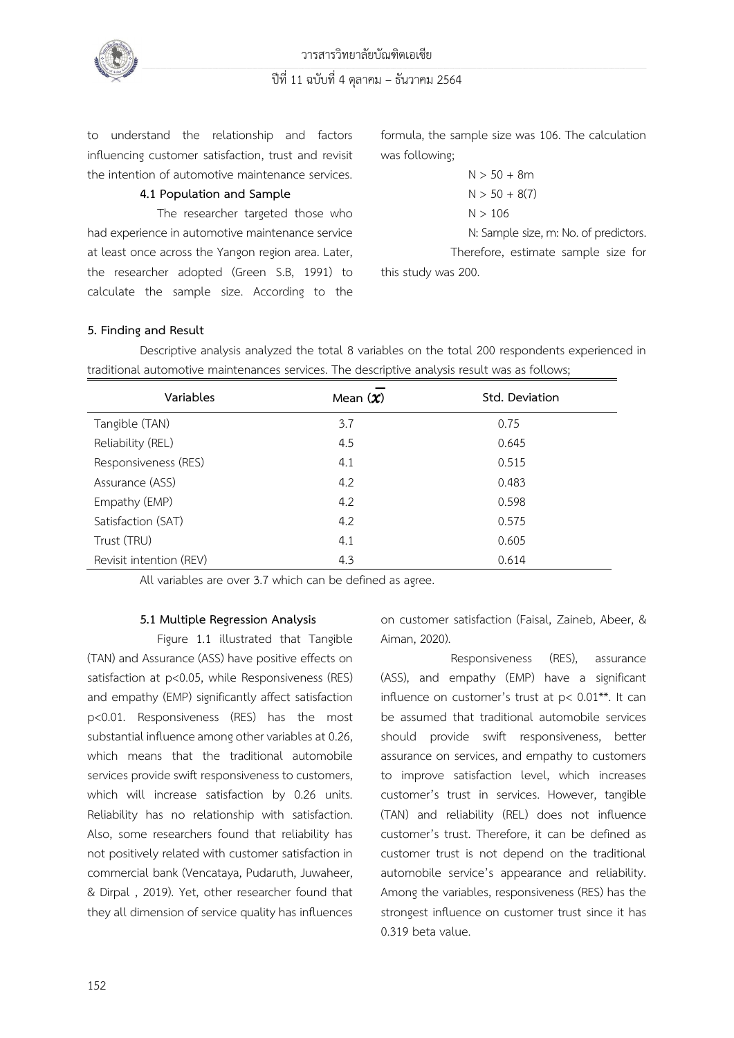

to understand the relationship and factors influencing customer satisfaction, trust and revisit the intention of automotive maintenance services.

## **4.1 Population and Sample**

The researcher targeted those who had experience in automotive maintenance service at least once across the Yangon region area. Later, the researcher adopted (Green S.B, 1991) to calculate the sample size. According to the formula, the sample size was 106. The calculation was following;

$$
N > 50 + 8m
$$
  

$$
N > 50 + 8(7)
$$
  

$$
N > 106
$$

N: Sample size, m: No. of predictors.

Therefore, estimate sample size for this study was 200.

## **5. Finding and Result**

Descriptive analysis analyzed the total 8 variables on the total 200 respondents experienced in traditional automotive maintenances services. The descriptive analysis result was as follows;

| Variables               | Mean $(\chi)$ | Std. Deviation |
|-------------------------|---------------|----------------|
| Tangible (TAN)          | 3.7           | 0.75           |
| Reliability (REL)       | 4.5           | 0.645          |
| Responsiveness (RES)    | 4.1           | 0.515          |
| Assurance (ASS)         | 4.2           | 0.483          |
| Empathy (EMP)           | 4.2           | 0.598          |
| Satisfaction (SAT)      | 4.2           | 0.575          |
| Trust (TRU)             | 4.1           | 0.605          |
| Revisit intention (REV) | 4.3           | 0.614          |

All variables are over 3.7 which can be defined as agree.

### **5.1 Multiple Regression Analysis**

Figure 1.1 illustrated that Tangible (TAN) and Assurance (ASS) have positive effects on satisfaction at p<0.05, while Responsiveness (RES) and empathy (EMP) significantly affect satisfaction p<0.01. Responsiveness (RES) has the most substantial influence among other variables at 0.26, which means that the traditional automobile services provide swift responsiveness to customers, which will increase satisfaction by 0.26 units. Reliability has no relationship with satisfaction. Also, some researchers found that reliability has not positively related with customer satisfaction in commercial bank (Vencataya, Pudaruth, Juwaheer, & Dirpal , 2019). Yet, other researcher found that they all dimension of service quality has influences on customer satisfaction (Faisal, Zaineb, Abeer, & Aiman, 2020).

Responsiveness (RES), assurance (ASS), and empathy (EMP) have a significant influence on customer's trust at p< 0.01\*\*. It can be assumed that traditional automobile services should provide swift responsiveness, better assurance on services, and empathy to customers to improve satisfaction level, which increases customer's trust in services. However, tangible (TAN) and reliability (REL) does not influence customer's trust. Therefore, it can be defined as customer trust is not depend on the traditional automobile service's appearance and reliability. Among the variables, responsiveness (RES) has the strongest influence on customer trust since it has 0.319 beta value.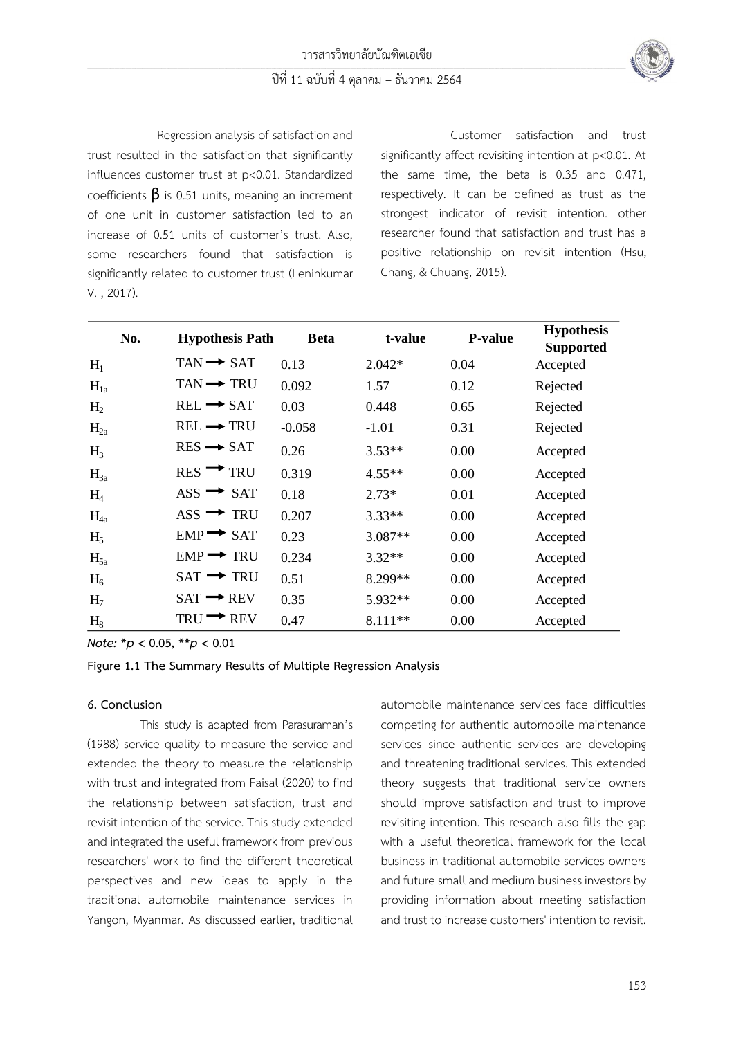

Regression analysis of satisfaction and trust resulted in the satisfaction that significantly influences customer trust at p<0.01. Standardized coefficients  $\beta$  is 0.51 units, meaning an increment of one unit in customer satisfaction led to an increase of 0.51 units of customer's trust. Also, some researchers found that satisfaction is significantly related to customer trust (Leninkumar V. , 2017).

Customer satisfaction and trust significantly affect revisiting intention at p<0.01. At the same time, the beta is 0.35 and 0.471, respectively. It can be defined as trust as the strongest indicator of revisit intention. other researcher found that satisfaction and trust has a positive relationship on revisit intention (Hsu, Chang, & Chuang, 2015).

| No.            | <b>Hypothesis Path</b>              | <b>B</b> eta | t-value   | <b>P-value</b> | <b>Hypothesis</b><br><b>Supported</b> |
|----------------|-------------------------------------|--------------|-----------|----------------|---------------------------------------|
| $H_1$          | $TAN \rightarrow SAT$               | 0.13         | $2.042*$  | 0.04           | Accepted                              |
| $H_{1a}$       | $TAN \rightarrow TRU$               | 0.092        | 1.57      | 0.12           | Rejected                              |
| $H_2$          | $REL \rightarrow SAT$               | 0.03         | 0.448     | 0.65           | Rejected                              |
| $H_{2a}$       | $REL \rightarrow TRU$               | $-0.058$     | $-1.01$   | 0.31           | Rejected                              |
| $H_3$          | $RES \rightarrow SAT$               | 0.26         | $3.53**$  | 0.00           | Accepted                              |
| $H_{3a}$       | $RES \rightarrow TRU$               | 0.319        | $4.55**$  | 0.00           | Accepted                              |
| H <sub>4</sub> | $\text{ASS} \rightarrow \text{SAT}$ | 0.18         | $2.73*$   | 0.01           | Accepted                              |
| $H_{4a}$       | $\text{ASS} \rightarrow \text{TRU}$ | 0.207        | $3.33**$  | 0.00           | Accepted                              |
| $H_5$          | $EMP \rightarrow SAT$               | 0.23         | 3.087**   | 0.00           | Accepted                              |
| $H_{5a}$       | $EMP \rightarrow TRU$               | 0.234        | $3.32**$  | 0.00           | Accepted                              |
| H <sub>6</sub> | $SAT \rightarrow TRU$               | 0.51         | 8.299**   | 0.00           | Accepted                              |
| H <sub>7</sub> | $SAT \rightarrow REV$               | 0.35         | 5.932**   | 0.00           | Accepted                              |
| $H_8$          | $TRU \rightarrow REV$               | 0.47         | $8.111**$ | 0.00           | Accepted                              |

*Note:* **\****p* **< 0.05, \*\****p* **< 0.01**

### **Figure 1.1 The Summary Results of Multiple Regression Analysis**

#### **6. Conclusion**

This study is adapted from Parasuraman's (1988) service quality to measure the service and extended the theory to measure the relationship with trust and integrated from Faisal (2020) to find the relationship between satisfaction, trust and revisit intention of the service. This study extended and integrated the useful framework from previous researchers' work to find the different theoretical perspectives and new ideas to apply in the traditional automobile maintenance services in Yangon, Myanmar. As discussed earlier, traditional automobile maintenance services face difficulties competing for authentic automobile maintenance services since authentic services are developing and threatening traditional services. This extended theory suggests that traditional service owners should improve satisfaction and trust to improve revisiting intention. This research also fills the gap with a useful theoretical framework for the local business in traditional automobile services owners and future small and medium business investors by providing information about meeting satisfaction and trust to increase customers' intention to revisit.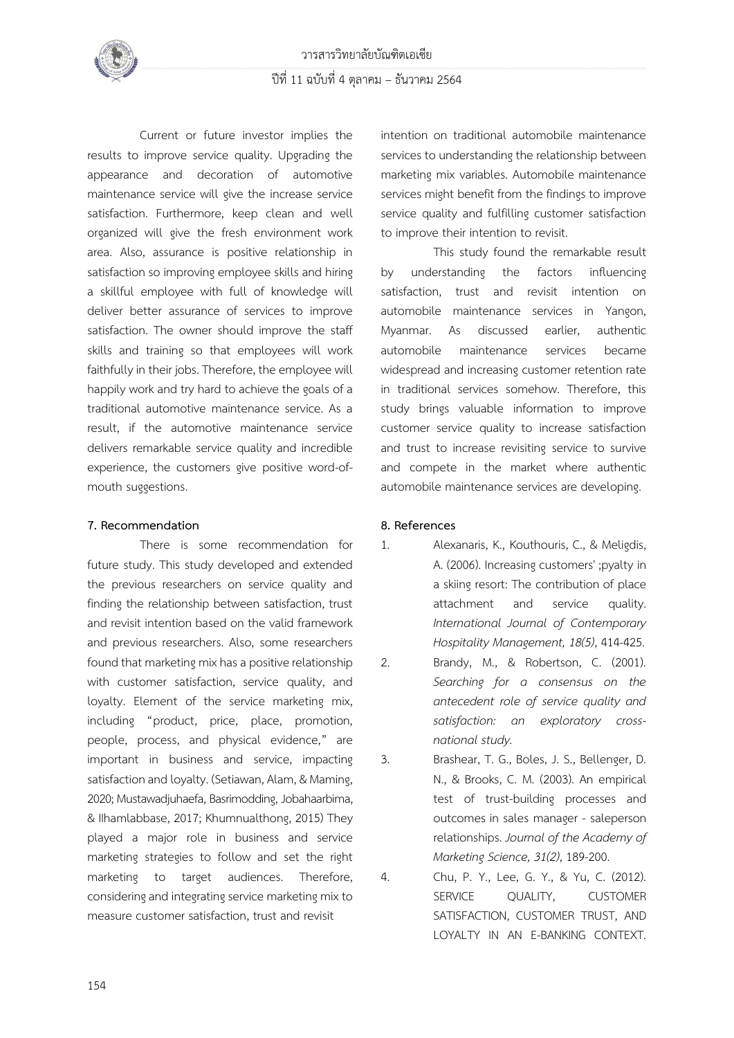

Current or future investor implies the results to improve service quality. Upgrading the appearance and decoration of automotive maintenance service will give the increase service satisfaction. Furthermore, keep clean and well organized will give the fresh environment work area. Also, assurance is positive relationship in satisfaction so improving employee skills and hiring a skillful employee with full of knowledge will deliver better assurance of services to improve satisfaction. The owner should improve the staff skills and training so that employees will work faithfully in their jobs. Therefore, the employee will happily work and try hard to achieve the goals of a traditional automotive maintenance service. As a result, if the automotive maintenance service delivers remarkable service quality and incredible experience, the customers give positive word-ofmouth suggestions.

## **7. Recommendation**

There is some recommendation for future study. This study developed and extended the previous researchers on service quality and finding the relationship between satisfaction, trust and revisit intention based on the valid framework and previous researchers. Also, some researchers found that marketing mix has a positive relationship with customer satisfaction, service quality, and loyalty. Element of the service marketing mix, including "product, price, place, promotion, people, process, and physical evidence," are important in business and service, impacting satisfaction and loyalty. (Setiawan, Alam, & Maming, 2020; Mustawadjuhaefa, Basrimodding, Jobahaarbima, & IIhamlabbase, 2017; Khumnualthong, 2015) They played a major role in business and service marketing strategies to follow and set the right marketing to target audiences. Therefore, considering and integrating service marketing mix to measure customer satisfaction, trust and revisit

intention on traditional automobile maintenance services to understanding the relationship between marketing mix variables. Automobile maintenance services might benefit from the findings to improve service quality and fulfilling customer satisfaction to improve their intention to revisit.

This study found the remarkable result by understanding the factors influencing satisfaction, trust and revisit intention on automobile maintenance services in Yangon, Myanmar. As discussed earlier, authentic automobile maintenance services became widespread and increasing customer retention rate in traditional services somehow. Therefore, this study brings valuable information to improve customer service quality to increase satisfaction and trust to increase revisiting service to survive and compete in the market where authentic automobile maintenance services are developing.

## **8. References**

1. Alexanaris, K., Kouthouris, C., & Meligdis, A. (2006). Increasing customers' ;pyalty in a skiing resort: The contribution of place attachment and service quality. *International Journal of Contemporary Hospitality Management, 18(5)*, 414-425.

2. Brandy, M., & Robertson, C. (2001). *Searching for a consensus on the antecedent role of service quality and satisfaction: an exploratory crossnational study.*

3. Brashear, T. G., Boles, J. S., Bellenger, D. N., & Brooks, C. M. (2003). An empirical test of trust-building processes and outcomes in sales manager - saleperson relationships. *Journal of the Academy of Marketing Science, 31(2)*, 189-200.

4. Chu, P. Y., Lee, G. Y., & Yu, C. (2012). SERVICE OUALITY, CUSTOMER SATISFACTION, CUSTOMER TRUST, AND LOYALTY IN AN E-BANKING CONTEXT.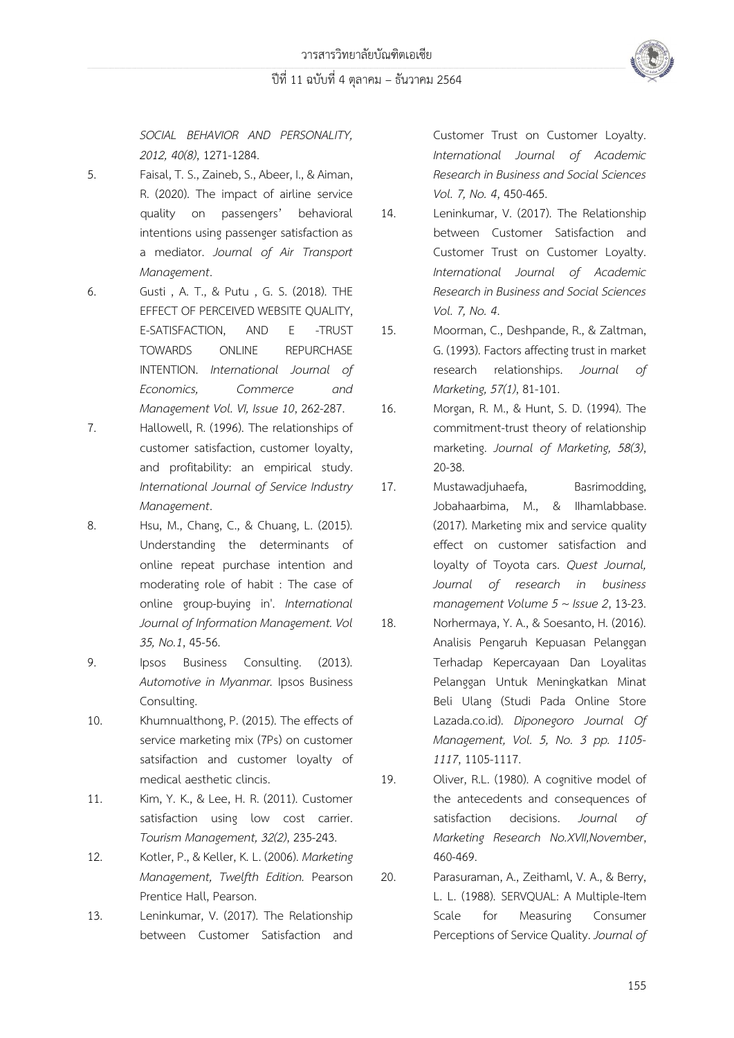*SOCIAL BEHAVIOR AND PERSONALITY, 2012, 40(8)*, 1271-1284.

- 5. Faisal, T. S., Zaineb, S., Abeer, I., & Aiman, R. (2020). The impact of airline service quality on passengers' behavioral intentions using passenger satisfaction as a mediator. *Journal of Air Transport Management*.
- 6. Gusti , A. T., & Putu , G. S. (2018). THE EFFECT OF PERCEIVED WEBSITE QUALITY, E-SATISFACTION, AND E -TRUST TOWARDS ONLINE REPURCHASE INTENTION. *International Journal of Economics, Commerce and Management Vol. VI, Issue 10*, 262-287.
- 7. Hallowell, R. (1996). The relationships of customer satisfaction, customer loyalty, and profitability: an empirical study. *International Journal of Service Industry Management*.
- 8. Hsu, M., Chang, C., & Chuang, L. (2015). Understanding the determinants of online repeat purchase intention and moderating role of habit : The case of online group-buying in'. *International Journal of Information Management. Vol 35, No.1*, 45-56.
- 9. Ipsos Business Consulting. (2013). *Automotive in Myanmar.* Ipsos Business Consulting.
- 10. Khumnualthong, P. (2015). The effects of service marketing mix (7Ps) on customer satsifaction and customer loyalty of medical aesthetic clincis.
- 11. Kim, Y. K., & Lee, H. R. (2011). Customer satisfaction using low cost carrier. *Tourism Management, 32(2)*, 235-243.
- 12. Kotler, P., & Keller, K. L. (2006). *Marketing Management, Twelfth Edition.* Pearson Prentice Hall, Pearson.
- 13. Leninkumar, V. (2017). The Relationship between Customer Satisfaction and

Customer Trust on Customer Loyalty. *International Journal of Academic Research in Business and Social Sciences Vol. 7, No. 4*, 450-465.

- 14. Leninkumar, V. (2017). The Relationship between Customer Satisfaction and Customer Trust on Customer Loyalty. *International Journal of Academic Research in Business and Social Sciences Vol. 7, No. 4*.
- 15. Moorman, C., Deshpande, R., & Zaltman, G. (1993). Factors affecting trust in market research relationships. *Journal of Marketing, 57(1)*, 81-101.
- 16. Morgan, R. M., & Hunt, S. D. (1994). The commitment-trust theory of relationship marketing. *Journal of Marketing, 58(3)*, 20-38.
- 17. Mustawadjuhaefa, Basrimodding, Jobahaarbima, M., & IIhamlabbase. (2017). Marketing mix and service quality effect on customer satisfaction and loyalty of Toyota cars. *Quest Journal, Journal of research in business management Volume 5 ~ Issue 2*, 13-23.
- 18. Norhermaya, Y. A., & Soesanto, H. (2016). Analisis Pengaruh Kepuasan Pelanggan Terhadap Kepercayaan Dan Loyalitas Pelanggan Untuk Meningkatkan Minat Beli Ulang (Studi Pada Online Store Lazada.co.id). *Diponegoro Journal Of Management, Vol. 5, No. 3 pp. 1105- 1117*, 1105-1117.
- 19. Oliver, R.L. (1980). A cognitive model of the antecedents and consequences of satisfaction decisions. *Journal of Marketing Research No.XVII,November*, 460-469.
- 20. Parasuraman, A., Zeithaml, V. A., & Berry, L. L. (1988). SERVQUAL: A Multiple-Item Scale for Measuring Consumer Perceptions of Service Quality. *Journal of*